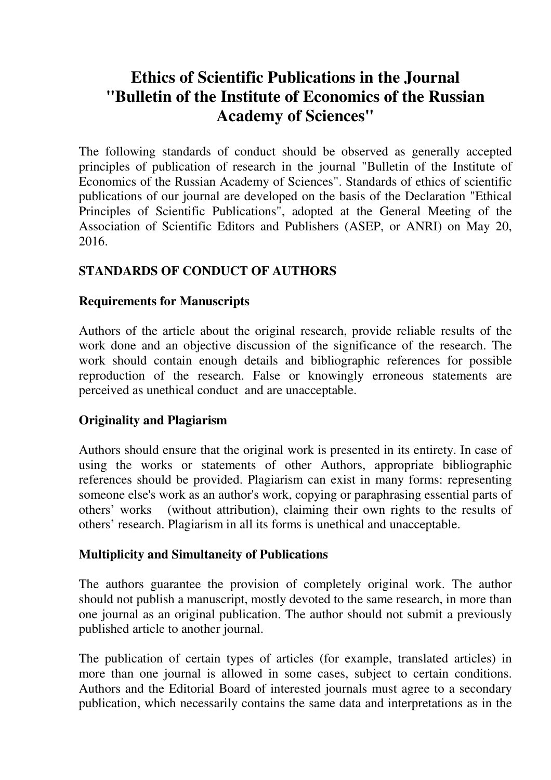# **Ethics of Scientific Publications in the Journal "Bulletin of the Institute of Economics of the Russian Academy of Sciences"**

The following standards of conduct should be observed as generally accepted principles of publication of research in the journal "Bulletin of the Institute of Economics of the Russian Academy of Sciences". Standards of ethics of scientific publications of our journal are developed on the basis of the Declaration "Ethical Principles of Scientific Publications", adopted at the General Meeting of the Association of Scientific Editors and Publishers (ASEP, or ANRI) on May 20, 2016.

## **STANDARDS OF CONDUCT OF AUTHORS**

#### **Requirements for Manuscripts**

Authors of the article about the original research, provide reliable results of the work done and an objective discussion of the significance of the research. The work should contain enough details and bibliographic references for possible reproduction of the research. False or knowingly erroneous statements are perceived as unethical conduct and are unacceptable.

## **Originality and Plagiarism**

Authors should ensure that the original work is presented in its entirety. In case of using the works or statements of other Authors, appropriate bibliographic references should be provided. Plagiarism can exist in many forms: representing someone else's work as an author's work, copying or paraphrasing essential parts of others' works (without attribution), claiming their own rights to the results of others' research. Plagiarism in all its forms is unethical and unacceptable.

#### **Multiplicity and Simultaneity of Publications**

The authors guarantee the provision of completely original work. The author should not publish a manuscript, mostly devoted to the same research, in more than one journal as an original publication. The author should not submit a previously published article to another journal.

The publication of certain types of articles (for example, translated articles) in more than one journal is allowed in some cases, subject to certain conditions. Authors and the Editorial Board of interested journals must agree to a secondary publication, which necessarily contains the same data and interpretations as in the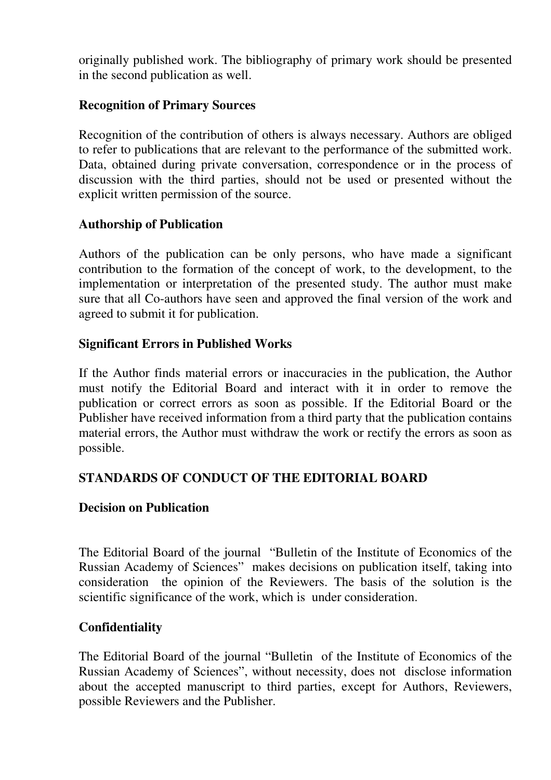originally published work. The bibliography of primary work should be presented in the second publication as well.

## **Recognition of Primary Sources**

Recognition of the contribution of others is always necessary. Authors are obliged to refer to publications that are relevant to the performance of the submitted work. Data, obtained during private conversation, correspondence or in the process of discussion with the third parties, should not be used or presented without the explicit written permission of the source.

#### **Authorship of Publication**

Authors of the publication can be only persons, who have made a significant contribution to the formation of the concept of work, to the development, to the implementation or interpretation of the presented study. The author must make sure that all Co-authors have seen and approved the final version of the work and agreed to submit it for publication.

#### **Significant Errors in Published Works**

If the Author finds material errors or inaccuracies in the publication, the Author must notify the Editorial Board and interact with it in order to remove the publication or correct errors as soon as possible. If the Editorial Board or the Publisher have received information from a third party that the publication contains material errors, the Author must withdraw the work or rectify the errors as soon as possible.

## **STANDARDS OF CONDUCT OF THE EDITORIAL BOARD**

#### **Decision on Publication**

The Editorial Board of the journal "Bulletin of the Institute of Economics of the Russian Academy of Sciences" makes decisions on publication itself, taking into consideration the opinion of the Reviewers. The basis of the solution is the scientific significance of the work, which is under consideration.

## **Confidentiality**

The Editorial Board of the journal "Bulletin of the Institute of Economics of the Russian Academy of Sciences", without necessity, does not disclose information about the accepted manuscript to third parties, except for Authors, Reviewers, possible Reviewers and the Publisher.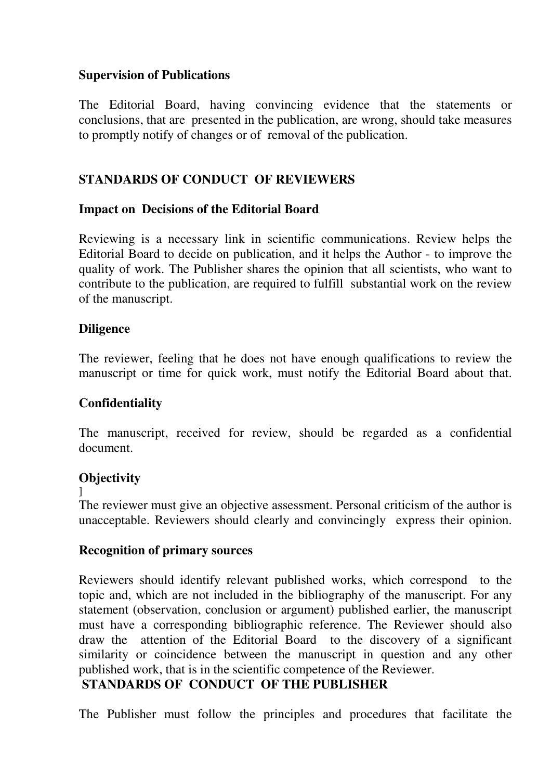#### **Supervision of Publications**

The Editorial Board, having convincing evidence that the statements or conclusions, that are presented in the publication, are wrong, should take measures to promptly notify of changes or of removal of the publication.

## **STANDARDS OF CONDUCT OF REVIEWERS**

#### **Impact on Decisions of the Editorial Board**

Reviewing is a necessary link in scientific communications. Review helps the Editorial Board to decide on publication, and it helps the Author - to improve the quality of work. The Publisher shares the opinion that all scientists, who want to contribute to the publication, are required to fulfill substantial work on the review of the manuscript.

## **Diligence**

The reviewer, feeling that he does not have enough qualifications to review the manuscript or time for quick work, must notify the Editorial Board about that.

## **Confidentiality**

The manuscript, received for review, should be regarded as a confidential document.

## **Objectivity**

]

The reviewer must give an objective assessment. Personal criticism of the author is unacceptable. Reviewers should clearly and convincingly express their opinion.

## **Recognition of primary sources**

Reviewers should identify relevant published works, which correspond to the topic and, which are not included in the bibliography of the manuscript. For any statement (observation, conclusion or argument) published earlier, the manuscript must have a corresponding bibliographic reference. The Reviewer should also draw the attention of the Editorial Board to the discovery of a significant similarity or coincidence between the manuscript in question and any other published work, that is in the scientific competence of the Reviewer.

## **STANDARDS OF CONDUCT OF THE PUBLISHER**

The Publisher must follow the principles and procedures that facilitate the